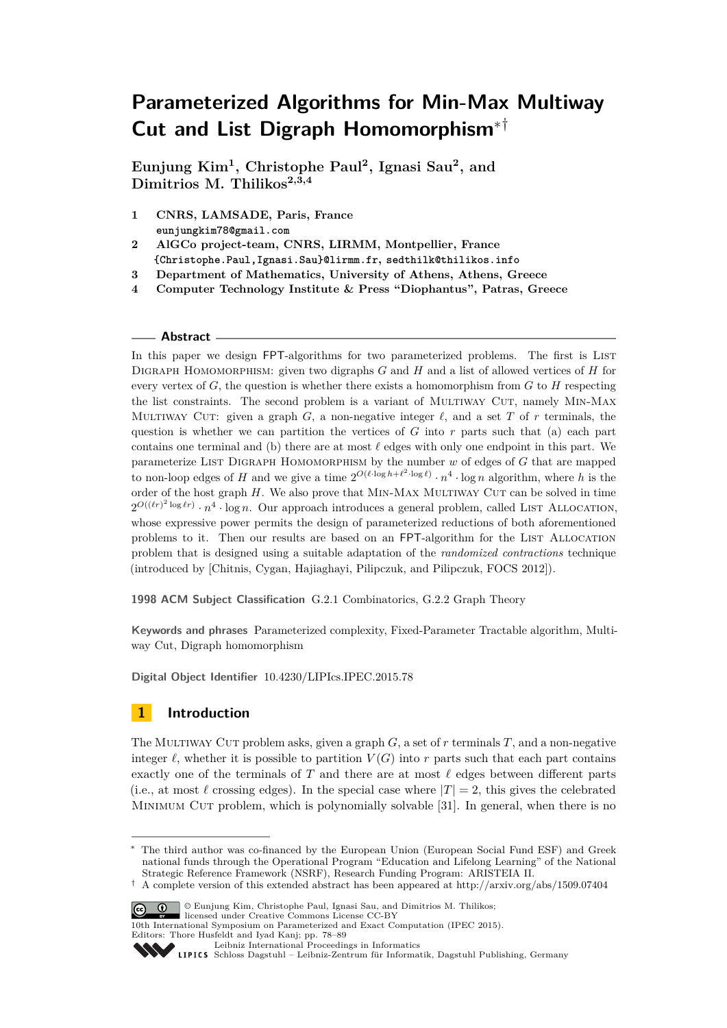# **Parameterized Algorithms for Min-Max Multiway Cut and List Digraph Homomorphism**∗†

**Eunjung Kim<sup>1</sup> , Christophe Paul<sup>2</sup> , Ignasi Sau<sup>2</sup> , and Dimitrios M. Thilikos2,3,4**

- **1 CNRS, LAMSADE, Paris, France eunjungkim78@gmail.com**
- **2 AlGCo project-team, CNRS, LIRMM, Montpellier, France {Christophe.Paul,Ignasi.Sau}@lirmm.fr, sedthilk@thilikos.info**
- **3 Department of Mathematics, University of Athens, Athens, Greece**
- **4 Computer Technology Institute & Press "Diophantus", Patras, Greece**

#### **Abstract**

In this paper we design FPT-algorithms for two parameterized problems. The first is LIST Digraph Homomorphism: given two digraphs *G* and *H* and a list of allowed vertices of *H* for every vertex of *G*, the question is whether there exists a homomorphism from *G* to *H* respecting the list constraints. The second problem is a variant of MULTIWAY CUT, namely MIN-MAX MULTIWAY CUT: given a graph  $G$ , a non-negative integer  $\ell$ , and a set  $T$  of  $r$  terminals, the question is whether we can partition the vertices of *G* into *r* parts such that (a) each part contains one terminal and (b) there are at most  $\ell$  edges with only one endpoint in this part. We parameterize List Digraph Homomorphism by the number *w* of edges of *G* that are mapped to non-loop edges of *H* and we give a time  $2^{O(\ell \cdot \log h + \ell^2 \cdot \log \ell)} \cdot n^4 \cdot \log n$  algorithm, where *h* is the order of the host graph  $H$ . We also prove that MIN-MAX MULTIWAY CUT can be solved in time  $2^{O((\ell r)^2 \log \ell r)} \cdot n^4 \cdot \log n$ . Our approach introduces a general problem, called LIST ALLOCATION, whose expressive power permits the design of parameterized reductions of both aforementioned problems to it. Then our results are based on an FPT-algorithm for the LIST ALLOCATION problem that is designed using a suitable adaptation of the *randomized contractions* technique (introduced by [Chitnis, Cygan, Hajiaghayi, Pilipczuk, and Pilipczuk, FOCS 2012]).

**1998 ACM Subject Classification** G.2.1 Combinatorics, G.2.2 Graph Theory

**Keywords and phrases** Parameterized complexity, Fixed-Parameter Tractable algorithm, Multiway Cut, Digraph homomorphism

**Digital Object Identifier** [10.4230/LIPIcs.IPEC.2015.78](http://dx.doi.org/10.4230/LIPIcs.IPEC.2015.78)

# **1 Introduction**

The Multiway Cut problem asks, given a graph *G*, a set of *r* terminals *T*, and a non-negative integer  $\ell$ , whether it is possible to partition  $V(G)$  into r parts such that each part contains exactly one of the terminals of  $T$  and there are at most  $\ell$  edges between different parts (i.e., at most  $\ell$  crossing edges). In the special case where  $|T| = 2$ , this gives the celebrated MINIMUM CUT problem, which is polynomially solvable [\[31\]](#page-11-0). In general, when there is no

<sup>&</sup>lt;sup> $\dagger$ </sup> A complete version of this extended abstract has been appeared at<http://arxiv.org/abs/1509.07404>



<sup>©</sup> Eunjung Kim, Christophe Paul, Ignasi Sau, and Dimitrios M. Thilikos; licensed under Creative Commons License CC-BY

[Leibniz International Proceedings in Informatics](http://www.dagstuhl.de/lipics/)

The third author was co-financed by the European Union (European Social Fund ESF) and Greek national funds through the Operational Program "Education and Lifelong Learning" of the National Strategic Reference Framework (NSRF), Research Funding Program: ARISTEIA II.

<sup>10</sup>th International Symposium on Parameterized and Exact Computation (IPEC 2015). Editors: Thore Husfeldt and Iyad Kanj; pp. 78[–89](#page-11-1)

Leibniz international Froceedings in miximisisco<br>
LIPICS [Schloss Dagstuhl – Leibniz-Zentrum für Informatik, Dagstuhl Publishing, Germany](http://www.dagstuhl.de)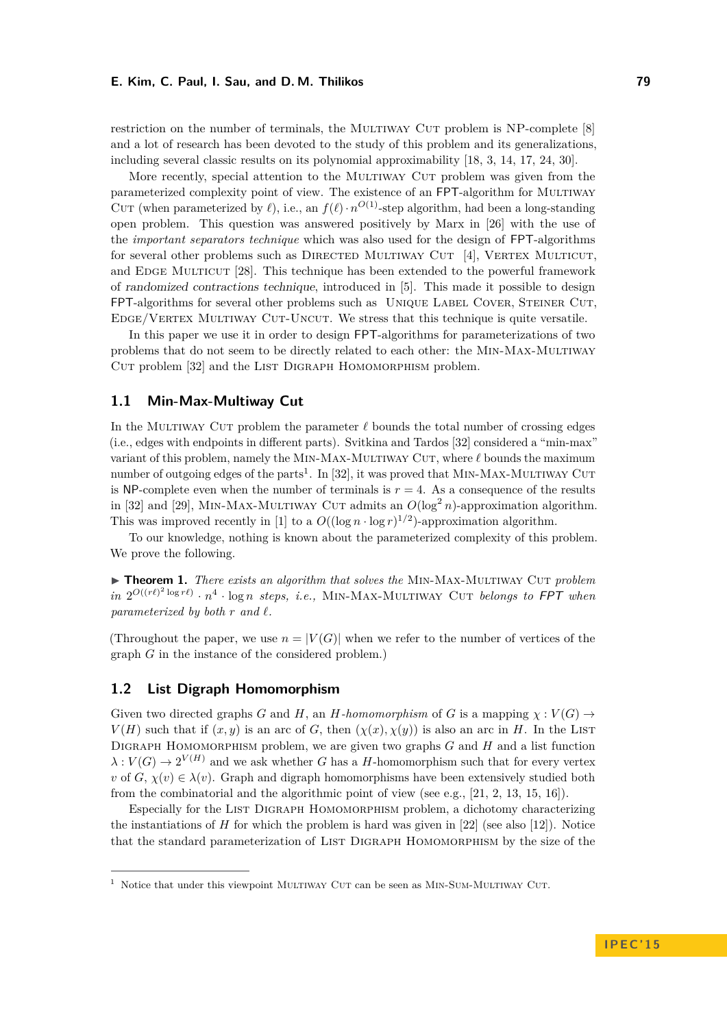restriction on the number of terminals, the MULTIWAY CUT problem is NP-complete [\[8\]](#page-10-0) and a lot of research has been devoted to the study of this problem and its generalizations, including several classic results on its polynomial approximability [\[18,](#page-11-2) [3,](#page-10-1) [14,](#page-11-3) [17,](#page-11-4) [24,](#page-11-5) [30\]](#page-11-6).

More recently, special attention to the MULTIWAY CUT problem was given from the parameterized complexity point of view. The existence of an FPT-algorithm for Multiway CUT (when parameterized by  $\ell$ ), i.e., an  $f(\ell) \cdot n^{O(1)}$ -step algorithm, had been a long-standing open problem. This question was answered positively by Marx in [\[26\]](#page-11-7) with the use of the *important separators technique* which was also used for the design of FPT-algorithms for several other problems such as DIRECTED MULTIWAY CUT [\[4\]](#page-10-2), VERTEX MULTICUT, and EDGE MULTICUT [\[28\]](#page-11-8). This technique has been extended to the powerful framework of randomized contractions technique, introduced in [\[5\]](#page-10-3). This made it possible to design FPT-algorithms for several other problems such as UNIQUE LABEL COVER, STEINER CUT, EDGE/VERTEX MULTIWAY CUT-UNCUT. We stress that this technique is quite versatile.

In this paper we use it in order to design FPT-algorithms for parameterizations of two problems that do not seem to be directly related to each other: the MIN-MAX-MULTIWAY CUT problem [\[32\]](#page-11-9) and the LIST DIGRAPH HOMOMORPHISM problem.

# **1.1 Min-Max-Multiway Cut**

In the MULTIWAY CUT problem the parameter  $\ell$  bounds the total number of crossing edges (i.e., edges with endpoints in different parts). Svitkina and Tardos [\[32\]](#page-11-9) considered a "min-max" variant of this problem, namely the MIN-MAX-MULTIWAY CUT, where  $\ell$  bounds the maximum number of outgoing edges of the parts<sup>[1](#page-1-0)</sup>. In [\[32\]](#page-11-9), it was proved that MIN-MAX-MULTIWAY CUT is NP-complete even when the number of terminals is  $r = 4$ . As a consequence of the results in [\[32\]](#page-11-9) and [\[29\]](#page-11-10), MIN-MAX-MULTIWAY CUT admits an  $O(\log^2 n)$ -approximation algorithm. This was improved recently in [\[1\]](#page-10-4) to a  $O((\log n \cdot \log r)^{1/2})$ -approximation algorithm.

To our knowledge, nothing is known about the parameterized complexity of this problem. We prove the following.

<span id="page-1-1"></span>▶ **Theorem 1.** *There exists an algorithm that solves the* MIN-MAX-MULTIWAY CUT *problem*  $\int \sin 2^{O((r\ell)^2 \log r\ell)} \cdot n^4 \cdot \log n$  *steps, i.e.,* MIN-MAX-MULTIWAY CUT *belongs to* FPT *when parameterized by both*  $r$  *and*  $\ell$ .

(Throughout the paper, we use  $n = |V(G)|$  when we refer to the number of vertices of the graph *G* in the instance of the considered problem.)

## **1.2 List Digraph Homomorphism**

Given two directed graphs *G* and *H*, an *H-homomorphism* of *G* is a mapping  $\chi : V(G) \rightarrow$ *V*(*H*) such that if  $(x, y)$  is an arc of *G*, then  $(\chi(x), \chi(y))$  is also an arc in *H*. In the LIST Digraph Homomorphism problem, we are given two graphs *G* and *H* and a list function  $\lambda: V(G) \to 2^{V(H)}$  and we ask whether *G* has a *H*-homomorphism such that for every vertex *v* of  $G, \chi(v) \in \lambda(v)$ . Graph and digraph homomorphisms have been extensively studied both from the combinatorial and the algorithmic point of view (see e.g.,  $[21, 2, 13, 15, 16]$  $[21, 2, 13, 15, 16]$  $[21, 2, 13, 15, 16]$  $[21, 2, 13, 15, 16]$  $[21, 2, 13, 15, 16]$ ).

Especially for the List Digraph Homomorphism problem, a dichotomy characterizing the instantiations of  $H$  for which the problem is hard was given in [\[22\]](#page-11-15) (see also [\[12\]](#page-10-6)). Notice that the standard parameterization of List Digraph Homomorphism by the size of the

<span id="page-1-0"></span> $^{\rm 1}$  Notice that under this viewpoint MULTIWAY CUT can be seen as MIN-SUM-MULTIWAY CUT.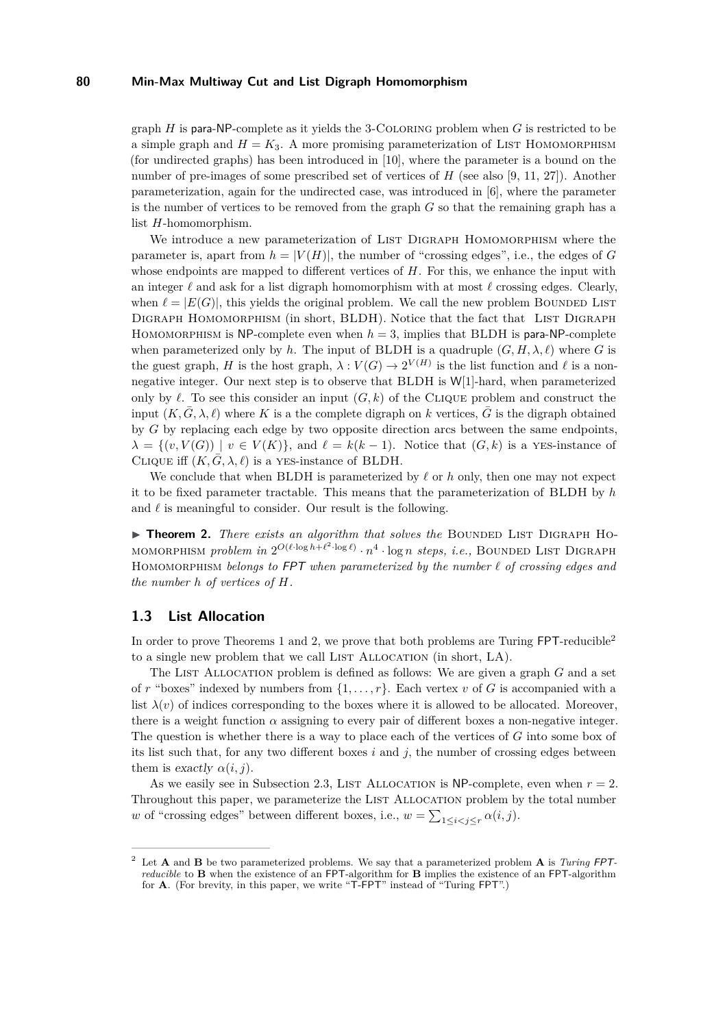graph *H* is para-NP-complete as it yields the 3-Coloring problem when *G* is restricted to be a simple graph and  $H = K_3$ . A more promising parameterization of LIST HOMOMORPHISM (for undirected graphs) has been introduced in [\[10\]](#page-10-7), where the parameter is a bound on the number of pre-images of some prescribed set of vertices of *H* (see also [\[9,](#page-10-8) [11,](#page-10-9) [27\]](#page-11-16)). Another parameterization, again for the undirected case, was introduced in [\[6\]](#page-10-10), where the parameter is the number of vertices to be removed from the graph *G* so that the remaining graph has a list *H*-homomorphism.

We introduce a new parameterization of LIST DIGRAPH HOMOMORPHISM where the parameter is, apart from  $h = |V(H)|$ , the number of "crossing edges", i.e., the edges of *G* whose endpoints are mapped to different vertices of  $H$ . For this, we enhance the input with an integer  $\ell$  and ask for a list digraph homomorphism with at most  $\ell$  crossing edges. Clearly, when  $\ell = |E(G)|$ , this yields the original problem. We call the new problem BOUNDED LIST DIGRAPH HOMOMORPHISM (in short, BLDH). Notice that the fact that LIST DIGRAPH HOMOMORPHISM is NP-complete even when  $h = 3$ , implies that BLDH is para-NP-complete when parameterized only by *h*. The input of BLDH is a quadruple  $(G, H, \lambda, \ell)$  where *G* is the guest graph, *H* is the host graph,  $\lambda: V(G) \to 2^{V(H)}$  is the list function and  $\ell$  is a nonnegative integer. Our next step is to observe that BLDH is W[1]-hard, when parameterized only by  $\ell$ . To see this consider an input  $(G, k)$  of the CLIQUE problem and construct the input  $(K, \overline{G}, \lambda, \ell)$  where K is a the complete digraph on k vertices,  $\overline{G}$  is the digraph obtained by *G* by replacing each edge by two opposite direction arcs between the same endpoints,  $\lambda = \{(v, V(G)) \mid v \in V(K)\},\$ and  $\ell = k(k-1)$ . Notice that  $(G, k)$  is a yes-instance of CLIQUE iff  $(K, \overline{G}, \lambda, \ell)$  is a YES-instance of BLDH.

We conclude that when BLDH is parameterized by  $\ell$  or  $h$  only, then one may not expect it to be fixed parameter tractable. This means that the parameterization of BLDH by *h* and  $\ell$  is meaningful to consider. Our result is the following.

<span id="page-2-0"></span>**Findmergeright** There exists an algorithm that solves the BOUNDED LIST DIGRAPH HOмомокрнізм *problem in*  $2^{O(\ell \cdot \log h + \ell^2 \cdot \log \ell)} \cdot n^4 \cdot \log n$  *steps, i.e.,* Bounded List Digraph HOMOMORPHISM *belongs to* FPT when parameterized by the number  $\ell$  of crossing edges and *the number h of vertices of H.*

#### **1.3 List Allocation**

In order to prove Theorems [1](#page-1-1) and [2,](#page-2-0) we prove that both problems are Turing  $FPT$ -reducible<sup>[2](#page-2-1)</sup> to a single new problem that we call LIST ALLOCATION (in short, LA).

The LIST ALLOCATION problem is defined as follows: We are given a graph *G* and a set of *r* "boxes" indexed by numbers from  $\{1, \ldots, r\}$ . Each vertex *v* of *G* is accompanied with a list  $\lambda(v)$  of indices corresponding to the boxes where it is allowed to be allocated. Moreover, there is a weight function  $\alpha$  assigning to every pair of different boxes a non-negative integer. The question is whether there is a way to place each of the vertices of *G* into some box of its list such that, for any two different boxes *i* and *j,* the number of crossing edges between them is exactly  $\alpha(i, j)$ .

As we easily see in Subsection [2.3,](#page-3-0) LIST ALLOCATION is NP-complete, even when  $r = 2$ . Throughout this paper, we parameterize the LIST ALLOCATION problem by the total number *w* of "crossing edges" between different boxes, i.e.,  $w = \sum_{1 \leq i < j \leq r} \alpha(i, j)$ .

<span id="page-2-1"></span><sup>2</sup> Let **A** and **B** be two parameterized problems. We say that a parameterized problem **A** is *Turing* FPT*reducible* to **B** when the existence of an FPT-algorithm for **B** implies the existence of an FPT-algorithm for **A**. (For brevity, in this paper, we write "T-FPT" instead of "Turing FPT".)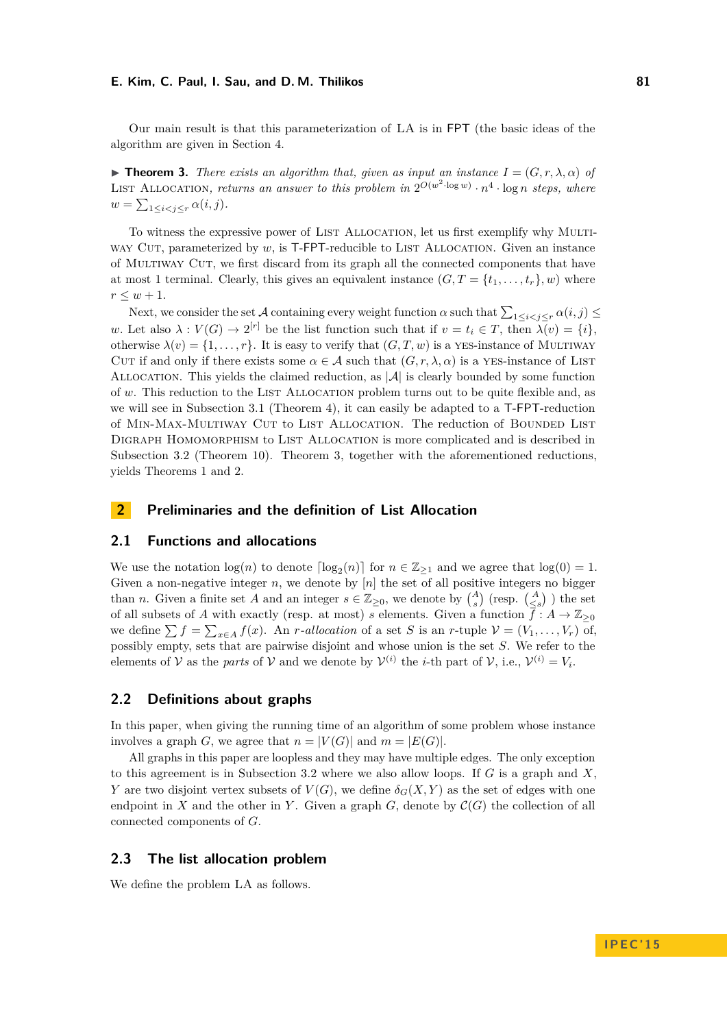Our main result is that this parameterization of LA is in FPT (the basic ideas of the algorithm are given in Section [4.](#page-9-0)

<span id="page-3-1"></span>**Theorem 3.** *There exists an algorithm that, given as input an instance*  $I = (G, r, \lambda, \alpha)$  *of* LIST ALLOCATION, returns an answer to this problem in  $2^{O(w^2 \cdot \log w)} \cdot n^4 \cdot \log n$  steps, where  $w = \sum_{1 \leq i < j \leq r} \alpha(i, j).$ 

To witness the expressive power of LIST ALLOCATION, let us first exemplify why MULTIway Cut, parameterized by *w*, is T-FPT-reducible to LIST ALLOCATION. Given an instance of Multiway Cut, we first discard from its graph all the connected components that have at most 1 terminal. Clearly, this gives an equivalent instance  $(G, T = \{t_1, \ldots, t_r\}, w)$  where  $r \leq w + 1$ .

Next, we consider the set A containing every weight function  $\alpha$  such that  $\sum_{1 \leq i < j \leq r} \alpha(i, j) \leq$ *w*. Let also  $\lambda : V(G) \to 2^{[r]}$  be the list function such that if  $v = t_i \in T$ , then  $\lambda(v) = \{i\}$ , otherwise  $\lambda(v) = \{1, \ldots, r\}$ . It is easy to verify that  $(G, T, w)$  is a YES-instance of MULTIWAY CUT if and only if there exists some  $\alpha \in \mathcal{A}$  such that  $(G, r, \lambda, \alpha)$  is a yes-instance of LIST ALLOCATION. This yields the claimed reduction, as  $|\mathcal{A}|$  is clearly bounded by some function of *w*. This reduction to the LIST ALLOCATION problem turns out to be quite flexible and, as we will see in Subsection [3.1](#page-4-0) (Theorem [4\)](#page-4-1), it can easily be adapted to a T-FPT-reduction of MIN-MAX-MULTIWAY CUT to LIST ALLOCATION. The reduction of BOUNDED LIST Digraph Homomorphism to List Allocation is more complicated and is described in Subsection [3.2](#page-5-0) (Theorem [10\)](#page-7-0). Theorem [3,](#page-3-1) together with the aforementioned reductions, yields Theorems [1](#page-1-1) and [2.](#page-2-0)

# **2 Preliminaries and the definition of List Allocation**

# **2.1 Functions and allocations**

We use the notation  $log(n)$  to denote  $\lceil log_2(n) \rceil$  for  $n \in \mathbb{Z}_{\geq 1}$  and we agree that  $log(0) = 1$ . Given a non-negative integer  $n$ , we denote by  $[n]$  the set of all positive integers no bigger than *n*. Given a finite set *A* and an integer  $s \in \mathbb{Z}_{\geq 0}$ , we denote by  $\binom{A}{s}$  (resp.  $\binom{A}{\leq s}$ ) the set of all subsets of *A* with exactly (resp. at most) *s* elements. Given a function  $\bar{f}: A \to \mathbb{Z}_{\geq 0}$ we define  $\sum f = \sum_{x \in A} f(x)$ . An *r*-allocation of a set *S* is an *r*-tuple  $\mathcal{V} = (V_1, \ldots, V_r)$  of, possibly empty, sets that are pairwise disjoint and whose union is the set *S*. We refer to the elements of V as the *parts* of V and we denote by  $V^{(i)}$  the *i*-th part of V, i.e.,  $V^{(i)} = V_i$ .

## **2.2 Definitions about graphs**

In this paper, when giving the running time of an algorithm of some problem whose instance involves a graph *G*, we agree that  $n = |V(G)|$  and  $m = |E(G)|$ .

All graphs in this paper are loopless and they may have multiple edges. The only exception to this agreement is in Subsection [3.2](#page-5-0) where we also allow loops. If *G* is a graph and *X*, *Y* are two disjoint vertex subsets of  $V(G)$ , we define  $\delta_G(X, Y)$  as the set of edges with one endpoint in *X* and the other in *Y*. Given a graph *G*, denote by  $\mathcal{C}(G)$  the collection of all connected components of *G*.

#### <span id="page-3-0"></span>**2.3 The list allocation problem**

We define the problem LA as follows.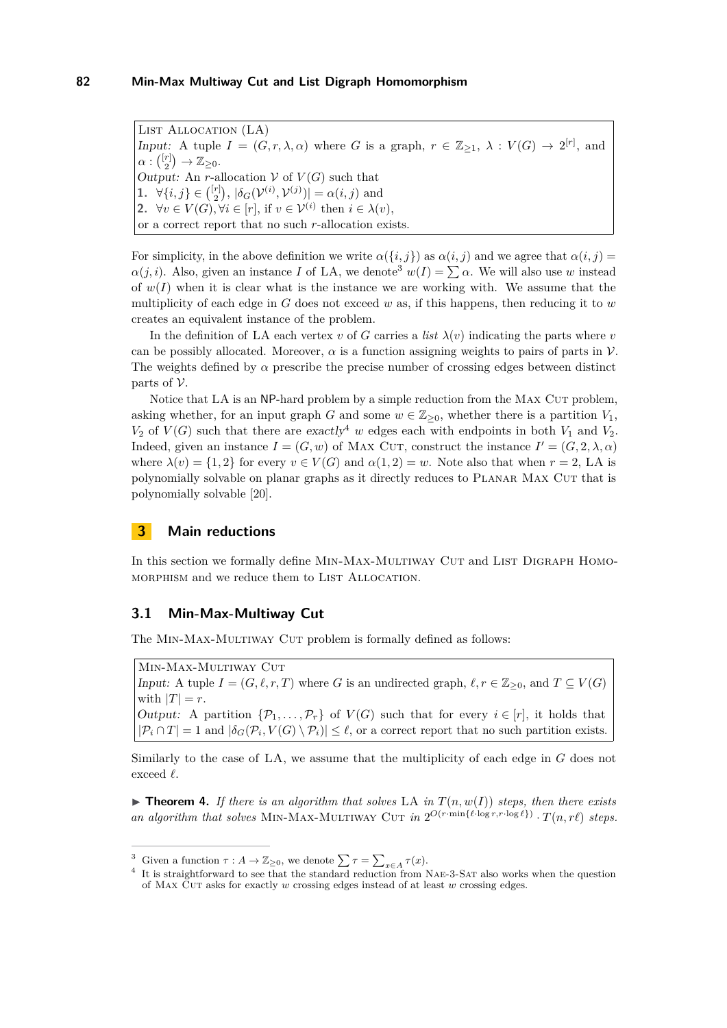List Allocation (LA) Input: A tuple  $I = (G, r, \lambda, \alpha)$  where *G* is a graph,  $r \in \mathbb{Z}_{\geq 1}$ ,  $\lambda : V(G) \to 2^{[r]}$ , and  $\alpha: \binom{[r]}{2} \rightarrow \mathbb{Z}_{\geq 0}.$ Output: An *r*-allocation  $V$  of  $V(G)$  such that **1.**  $\forall \{i, j\} \in \binom{[r]}{2}, |\delta_G(\mathcal{V}^{(i)}, \mathcal{V}^{(j)})| = \alpha(i, j)$  and **2.**  $\forall v \in V(G), \forall i \in [r]$ , if  $v \in V^{(i)}$  then  $i \in \lambda(v)$ , or a correct report that no such *r*-allocation exists.

For simplicity, in the above definition we write  $\alpha({i, j})$  as  $\alpha(i, j)$  and we agree that  $\alpha(i, j)$  = *α*(*j*, *i*). Also, given an instance *I* of LA, we denote<sup>[3](#page-4-2)</sup>  $w(I) = \sum \alpha$ . We will also use *w* instead of  $w(I)$  when it is clear what is the instance we are working with. We assume that the multiplicity of each edge in *G* does not exceed *w* as, if this happens, then reducing it to *w* creates an equivalent instance of the problem.

In the definition of LA each vertex *v* of *G* carries a *list*  $\lambda(v)$  indicating the parts where *v* can be possibly allocated. Moreover,  $\alpha$  is a function assigning weights to pairs of parts in  $\mathcal V$ . The weights defined by  $\alpha$  prescribe the precise number of crossing edges between distinct parts of  $\mathcal V$ .

Notice that LA is an NP-hard problem by a simple reduction from the MAX CUT problem, asking whether, for an input graph *G* and some  $w \in \mathbb{Z}_{\geq 0}$ , whether there is a partition  $V_1$ ,  $V_2$  of  $V(G)$  such that there are exactly<sup>[4](#page-4-3)</sup> *w* edges each with endpoints in both  $V_1$  and  $V_2$ . Indeed, given an instance  $I = (G, w)$  of MAX CUT, construct the instance  $I' = (G, 2, \lambda, \alpha)$ where  $\lambda(v) = \{1, 2\}$  for every  $v \in V(G)$  and  $\alpha(1, 2) = w$ . Note also that when  $r = 2$ , LA is polynomially solvable on planar graphs as it directly reduces to Planar Max Cut that is polynomially solvable [\[20\]](#page-11-17).

# **3 Main reductions**

In this section we formally define MIN-MAX-MULTIWAY CUT and LIST DIGRAPH HOMO-MORPHISM and we reduce them to LIST ALLOCATION.

#### <span id="page-4-0"></span>**3.1 Min-Max-Multiway Cut**

The MIN-MAX-MULTIWAY CUT problem is formally defined as follows:

Min-Max-Multiway Cut Input: A tuple  $I = (G, \ell, r, T)$  where *G* is an undirected graph,  $\ell, r \in \mathbb{Z}_{\geq 0}$ , and  $T \subseteq V(G)$ with  $|T| = r$ . Output: A partition  $\{\mathcal{P}_1,\ldots,\mathcal{P}_r\}$  of  $V(G)$  such that for every  $i \in [r]$ , it holds that  $|\mathcal{P}_i \cap T| = 1$  and  $|\delta_G(\mathcal{P}_i, V(G) \setminus \mathcal{P}_i)| \leq \ell$ , or a correct report that no such partition exists.

Similarly to the case of LA, we assume that the multiplicity of each edge in *G* does not exceed  $\ell$ .

<span id="page-4-1"></span> $\triangleright$  **Theorem 4.** If there is an algorithm that solves LA in  $T(n, w(I))$  steps, then there exists an algorithm that solves MIN-MAX-MULTIWAY CUT in  $2^{O(r \cdot \min\{\ell \cdot \log r, r \cdot \log \ell\})} \cdot T(n, r\ell)$  steps.

<span id="page-4-2"></span><sup>&</sup>lt;sup>3</sup> Given a function  $\tau : A \to \mathbb{Z}_{\geq 0}$ , we denote  $\sum \tau = \sum_{x \in A} \tau(x)$ .

<span id="page-4-3"></span><sup>&</sup>lt;sup>4</sup> It is straightforward to see that the standard reduction from NAE-3-SAT also works when the question of Max Cut asks for exactly *w* crossing edges instead of at least *w* crossing edges.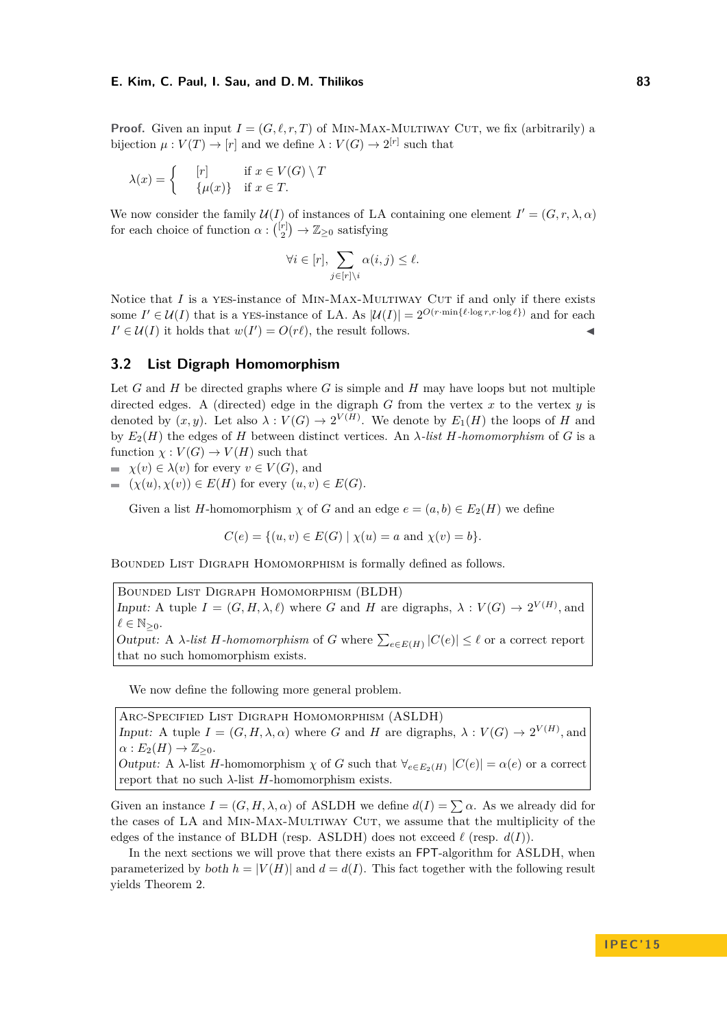**Proof.** Given an input  $I = (G, \ell, r, T)$  of MIN-MAX-MULTIWAY CUT, we fix (arbitrarily) a bijection  $\mu: V(T) \to [r]$  and we define  $\lambda: V(G) \to 2^{[r]}$  such that

$$
\lambda(x) = \begin{cases} & [r] & \text{if } x \in V(G) \setminus T \\ & \{ \mu(x) \} & \text{if } x \in T. \end{cases}
$$

We now consider the family  $\mathcal{U}(I)$  of instances of LA containing one element  $I' = (G, r, \lambda, \alpha)$ for each choice of function  $\alpha: \binom{[r]}{2} \to \mathbb{Z}_{\geq 0}$  satisfying

$$
\forall i \in [r], \sum_{j \in [r] \setminus i} \alpha(i, j) \le \ell.
$$

Notice that *I* is a YES-instance of MIN-MAX-MULTIWAY CUT if and only if there exists some  $I' \in \mathcal{U}(I)$  that is a yes-instance of LA. As  $|\mathcal{U}(I)| = 2^{O(r \cdot \min{\{\ell \cdot \log r, r \cdot \log \ell\}})}$  and for each  $I' \in \mathcal{U}(I)$  it holds that  $w(I') = O(r\ell)$ , the result follows.

## <span id="page-5-0"></span>**3.2 List Digraph Homomorphism**

Let  $G$  and  $H$  be directed graphs where  $G$  is simple and  $H$  may have loops but not multiple directed edges. A (directed) edge in the digraph *G* from the vertex *x* to the vertex *y* is denoted by  $(x, y)$ . Let also  $\lambda : V(G) \to 2^{V(H)}$ . We denote by  $E_1(H)$  the loops of *H* and by *E*2(*H*) the edges of *H* between distinct vertices. An *λ-list H-homomorphism* of *G* is a function  $\chi : V(G) \to V(H)$  such that

 $\blacktriangleright$   $\chi(v) \in \lambda(v)$  for every  $v \in V(G)$ , and

 $( \chi(u), \chi(v)) \in E(H)$  for every  $(u, v) \in E(G)$ .

Given a list *H*-homomorphism  $\chi$  of *G* and an edge  $e = (a, b) \in E_2(H)$  we define

 $C(e) = \{(u, v) \in E(G) | \chi(u) = a \text{ and } \chi(v) = b\}.$ 

Bounded List Digraph Homomorphism is formally defined as follows.

Bounded List Digraph Homomorphism (BLDH) Input: A tuple  $I = (G, H, \lambda, \ell)$  where *G* and *H* are digraphs,  $\lambda : V(G) \to 2^{V(H)}$ , and  $\ell \in \mathbb{N}_{\geq 0}$ . *Output:* A *λ-list H-homomorphism* of *G* where  $\sum_{e \in E(H)} |C(e)| ≤ l$  or a correct report that no such homomorphism exists.

We now define the following more general problem.

Arc-Specified List Digraph Homomorphism (ASLDH) Input: A tuple  $I = (G, H, \lambda, \alpha)$  where *G* and *H* are digraphs,  $\lambda : V(G) \to 2^{V(H)}$ , and  $\alpha: E_2(H) \to \mathbb{Z}_{\geq 0}.$ *Output:* A *λ*-list *H*-homomorphism *χ* of *G* such that  $∀<sub>e∈E<sub>2</sub>(H)</sub> |C(e)| = α(e)$  or a correct report that no such  $λ$ -list *H*-homomorphism exists.

Given an instance  $I = (G, H, \lambda, \alpha)$  of ASLDH we define  $d(I) = \sum \alpha$ . As we already did for the cases of LA and MIN-MAX-MULTIWAY CUT, we assume that the multiplicity of the edges of the instance of BLDH (resp. ASLDH) does not exceed  $\ell$  (resp.  $d(I)$ ).

In the next sections we will prove that there exists an FPT-algorithm for ASLDH, when parameterized by both  $h = |V(H)|$  and  $d = d(I)$ . This fact together with the following result yields Theorem [2.](#page-2-0)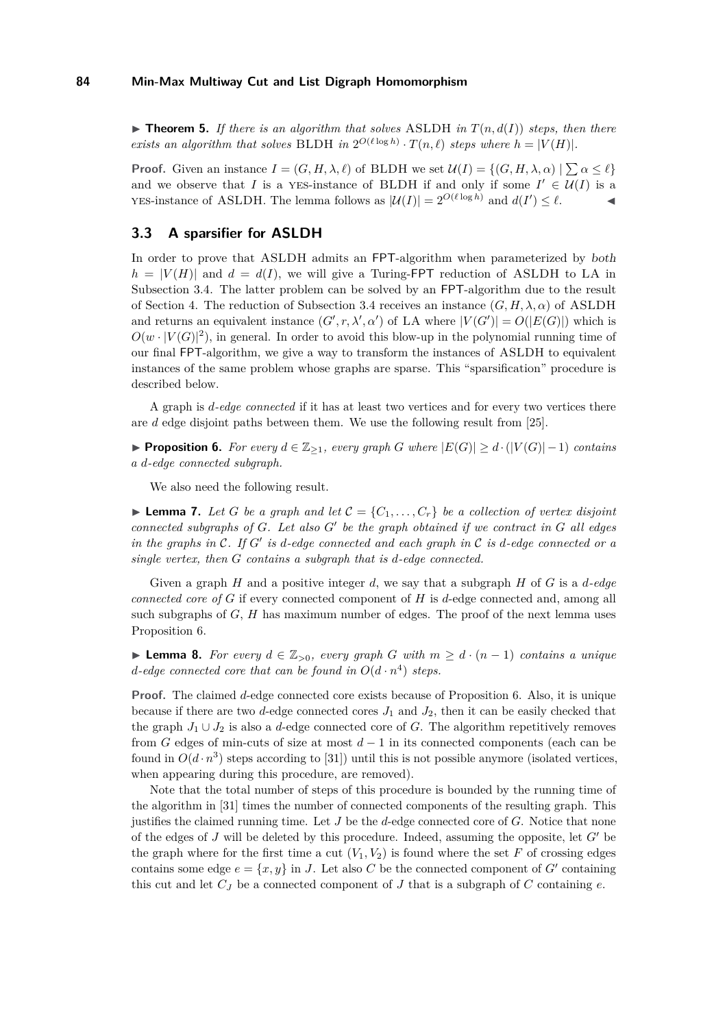<span id="page-6-3"></span> $\triangleright$  **Theorem 5.** If there is an algorithm that solves ASLDH in  $T(n, d(I))$  steps, then there *exists an algorithm that solves* BLDH *in*  $2^{O(\ell \log h)} \cdot T(n, \ell)$  *steps where*  $h = |V(H)|$ *.* 

**Proof.** Given an instance  $I = (G, H, \lambda, \ell)$  of BLDH we set  $\mathcal{U}(I) = \{(G, H, \lambda, \alpha) \mid \sum \alpha \leq \ell\}$ and we observe that *I* is a yes-instance of BLDH if and only if some  $I' \in \mathcal{U}(I)$  is a **YES-instance of ASLDH.** The lemma follows as  $|\mathcal{U}(I)| = 2^{O(\ell \log h)}$  and  $d(I') \leq \ell$ .

# **3.3 A sparsifier for ASLDH**

In order to prove that ASLDH admits an FPT-algorithm when parameterized by both  $h = |V(H)|$  and  $d = d(I)$ , we will give a Turing-FPT reduction of ASLDH to LA in Subsection [3.4.](#page-7-1) The latter problem can be solved by an FPT-algorithm due to the result of Section [4.](#page-9-0) The reduction of Subsection [3.4](#page-7-1) receives an instance  $(G, H, \lambda, \alpha)$  of ASLDH and returns an equivalent instance  $(G', r, \lambda', \alpha')$  of LA where  $|V(G')| = O(|E(G)|)$  which is  $O(w \cdot |V(G)|^2)$ , in general. In order to avoid this blow-up in the polynomial running time of our final FPT-algorithm, we give a way to transform the instances of ASLDH to equivalent instances of the same problem whose graphs are sparse. This "sparsification" procedure is described below.

A graph is *d-edge connected* if it has at least two vertices and for every two vertices there are *d* edge disjoint paths between them. We use the following result from [\[25\]](#page-11-18).

<span id="page-6-0"></span>**► Proposition 6.** For every  $d \in \mathbb{Z}_{\geq 1}$ , every graph *G* where  $|E(G)| \geq d \cdot (|V(G)| - 1)$  contains *a d-edge connected subgraph.*

We also need the following result.

<span id="page-6-2"></span>**Lemma 7.** Let G be a graph and let  $\mathcal{C} = \{C_1, \ldots, C_r\}$  be a collection of vertex disjoint *connected subgraphs of*  $G$ *. Let also*  $G'$  *be the graph obtained if we contract in*  $G$  *all edges in the graphs in* C*. If G*<sup>0</sup> *is d-edge connected and each graph in* C *is d-edge connected or a single vertex, then G contains a subgraph that is d-edge connected.*

Given a graph *H* and a positive integer *d*, we say that a subgraph *H* of *G* is a *d-edge connected core of G* if every connected component of *H* is *d*-edge connected and, among all such subgraphs of *G*, *H* has maximum number of edges. The proof of the next lemma uses Proposition [6.](#page-6-0)

<span id="page-6-1"></span>**► Lemma 8.** For every  $d \in \mathbb{Z}_{>0}$ , every graph G with  $m \geq d \cdot (n-1)$  contains a unique *d*-edge connected core that can be found in  $O(d \cdot n^4)$  steps.

**Proof.** The claimed *d*-edge connected core exists because of Proposition [6.](#page-6-0) Also, it is unique because if there are two *d*-edge connected cores  $J_1$  and  $J_2$ , then it can be easily checked that the graph  $J_1 \cup J_2$  is also a *d*-edge connected core of *G*. The algorithm repetitively removes from *G* edges of min-cuts of size at most *d* − 1 in its connected components (each can be found in  $O(d \cdot n^3)$  steps according to [\[31\]](#page-11-0)) until this is not possible anymore (isolated vertices, when appearing during this procedure, are removed).

Note that the total number of steps of this procedure is bounded by the running time of the algorithm in [\[31\]](#page-11-0) times the number of connected components of the resulting graph. This justifies the claimed running time. Let *J* be the *d*-edge connected core of *G*. Notice that none of the edges of  $J$  will be deleted by this procedure. Indeed, assuming the opposite, let  $G'$  be the graph where for the first time a cut  $(V_1, V_2)$  is found where the set F of crossing edges contains some edge  $e = \{x, y\}$  in *J*. Let also *C* be the connected component of *G'* containing this cut and let  $C_J$  be a connected component of  $J$  that is a subgraph of  $C$  containing  $e$ .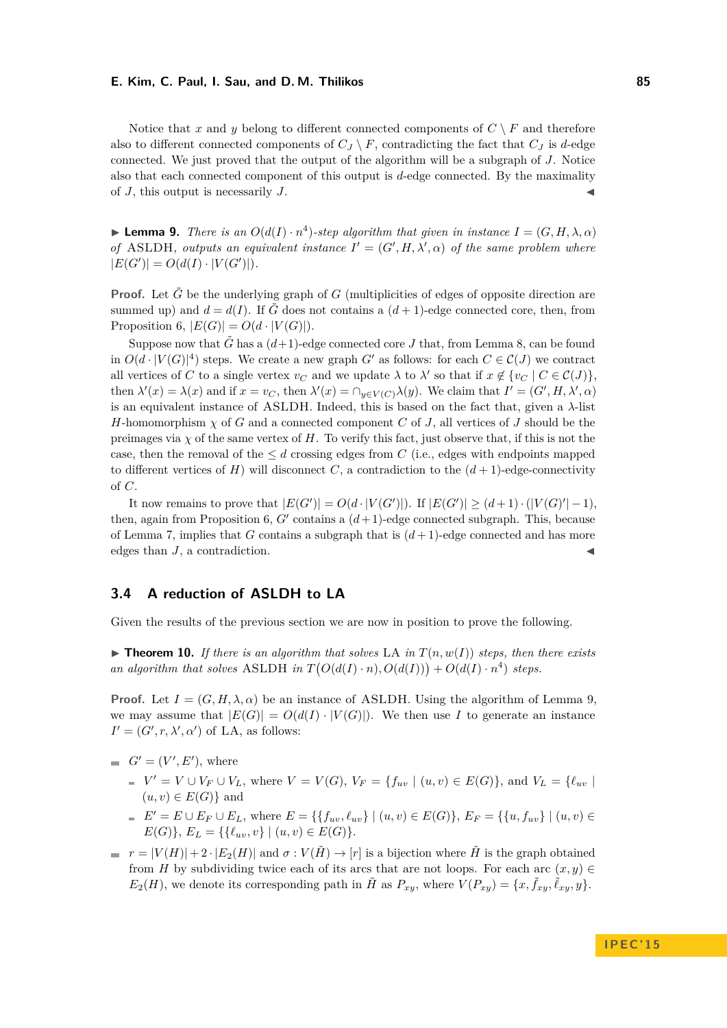Notice that *x* and *y* belong to different connected components of  $C \setminus F$  and therefore also to different connected components of  $C_J \setminus F$ , contradicting the fact that  $C_J$  is *d*-edge connected. We just proved that the output of the algorithm will be a subgraph of *J*. Notice also that each connected component of this output is *d*-edge connected. By the maximality of  $J$ , this output is necessarily  $J$ .

<span id="page-7-2"></span>**Lemma 9.** *There is an*  $O(d(I) \cdot n^4)$ -step algorithm that given in instance  $I = (G, H, \lambda, \alpha)$ *of* ASLDH, outputs an equivalent instance  $I' = (G', H, \lambda', \alpha)$  of the same problem where  $|E(G')| = O(d(I) \cdot |V(G')|).$ 

**Proof.** Let  $\tilde{G}$  be the underlying graph of  $G$  (multiplicities of edges of opposite direction are summed up) and  $d = d(I)$ . If  $\tilde{G}$  does not contains a  $(d+1)$ -edge connected core, then, from Proposition [6,](#page-6-0)  $|E(G)| = O(d \cdot |V(G)|)$ .

Suppose now that  $\tilde{G}$  has a  $(d+1)$ -edge connected core *J* that, from Lemma [8,](#page-6-1) can be found in  $O(d \cdot |V(G)|^4)$  steps. We create a new graph *G'* as follows: for each  $C \in C(J)$  we contract all vertices of *C* to a single vertex  $v_C$  and we update  $\lambda$  to  $\lambda'$  so that if  $x \notin \{v_C \mid C \in C(J)\},$ then  $\lambda'(x) = \lambda(x)$  and if  $x = v_C$ , then  $\lambda'(x) = \bigcap_{y \in V(C)} \lambda(y)$ . We claim that  $I' = (G', H, \lambda', \alpha)$ is an equivalent instance of ASLDH. Indeed, this is based on the fact that, given a *λ*-list *H*-homomorphism *χ* of *G* and a connected component *C* of *J*, all vertices of *J* should be the preimages via  $\chi$  of the same vertex of *H*. To verify this fact, just observe that, if this is not the case, then the removal of the  $\leq d$  crossing edges from C (i.e., edges with endpoints mapped to different vertices of *H*) will disconnect *C*, a contradiction to the  $(d+1)$ -edge-connectivity of *C*.

It now remains to prove that  $|E(G')| = O(d \cdot |V(G')|)$ . If  $|E(G')| \geq (d+1) \cdot (|V(G)'|-1)$ , then, again from Proposition [6,](#page-6-0)  $G'$  contains a  $(d+1)$ -edge connected subgraph. This, because of Lemma [7,](#page-6-2) implies that *G* contains a subgraph that is  $(d+1)$ -edge connected and has more edges than  $J$ , a contradiction.

# <span id="page-7-1"></span>**3.4 A reduction of ASLDH to LA**

Given the results of the previous section we are now in position to prove the following.

<span id="page-7-0"></span> $\triangleright$  **Theorem 10.** If there is an algorithm that solves LA in  $T(n, w(I))$  steps, then there exists *an algorithm that solves* ASLDH *in*  $T(O(d(I) \cdot n), O(d(I))) + O(d(I) \cdot n^4)$  *steps.* 

**Proof.** Let  $I = (G, H, \lambda, \alpha)$  be an instance of ASLDH. Using the algorithm of Lemma [9,](#page-7-2) we may assume that  $|E(G)| = O(d(I) \cdot |V(G)|)$ . We then use *I* to generate an instance  $I' = (G', r, \lambda', \alpha')$  of LA, as follows:

- $G' = (V', E'),$  where
	- $V' = V \cup V_F \cup V_L$ , where  $V = V(G)$ ,  $V_F = \{f_{uv} \mid (u, v) \in E(G)\}$ , and  $V_L = \{\ell_{uv} \mid$  $(u, v) \in E(G)$  and
	- *E*<sup> $′$ </sup> = *E* ∪ *E<sub>F</sub>* ∪ *E<sub>L</sub>*, where *E* = {{*f<sub>uv</sub>, l<sub>uv</sub>*} | (*u, v*) ∈ *E*(*G*)}, *E<sub>F</sub>* = {{*u, f<sub>uv</sub></sub>*} | (*u, v*) ∈ *E*(*G*)},  $E_L = \{ \{ \ell_{uv}, v \} \mid (u, v) \in E(G) \}.$
- $r = |V(H)| + 2 \cdot |E_2(H)|$  and  $\sigma : V(\tilde{H}) \to [r]$  is a bijection where  $\tilde{H}$  is the graph obtained from *H* by subdividing twice each of its arcs that are not loops. For each arc  $(x, y) \in$  $E_2(H)$ , we denote its corresponding path in  $\tilde{H}$  as  $P_{xy}$ , where  $V(P_{xy}) = \{x, \tilde{f}_{xy}, \tilde{\ell}_{xy}, y\}.$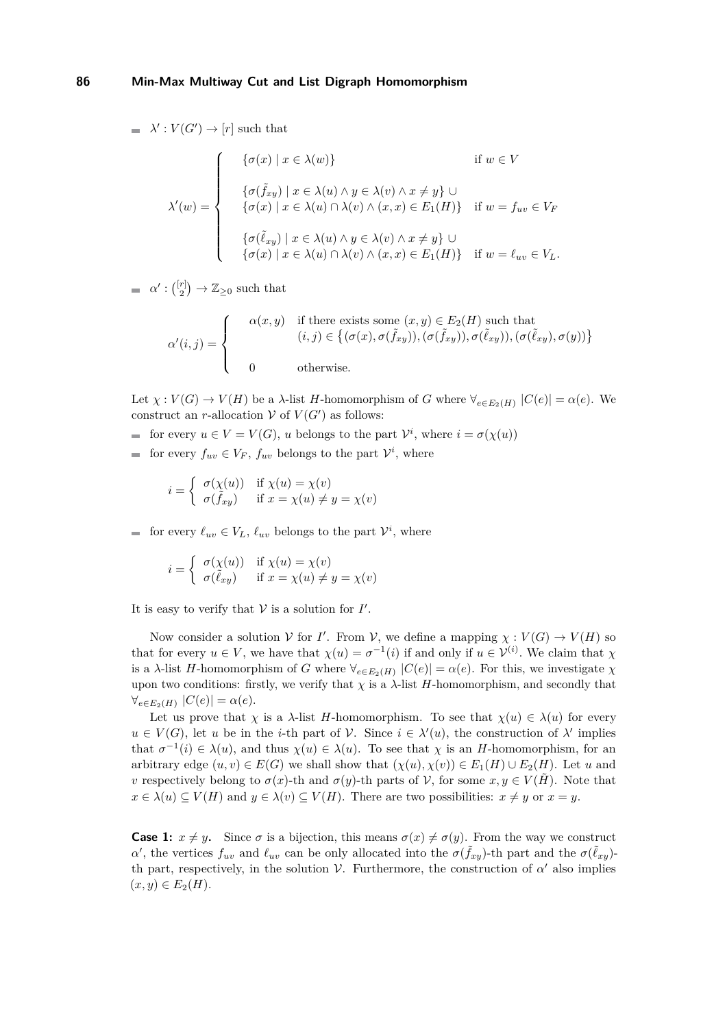$\lambda'$ :  $V(G') \rightarrow [r]$  such that

$$
\lambda'(w) = \begin{cases}\n\{\sigma(x) \mid x \in \lambda(w)\} & \text{if } w \in V \\
\{\sigma(\tilde{f}_{xy}) \mid x \in \lambda(u) \land y \in \lambda(v) \land x \neq y\} \cup \\
\{\sigma(x) \mid x \in \lambda(u) \cap \lambda(v) \land (x, x) \in E_1(H)\} & \text{if } w = f_{uv} \in V_F \\
\{\sigma(\tilde{\ell}_{xy}) \mid x \in \lambda(u) \land y \in \lambda(v) \land x \neq y\} \cup \\
\{\sigma(x) \mid x \in \lambda(u) \cap \lambda(v) \land (x, x) \in E_1(H)\} & \text{if } w = \ell_{uv} \in V_L.\n\end{cases}
$$

 $\alpha': {\binom{[r]}{2}} \to \mathbb{Z}_{\geq 0}$  such that

$$
\alpha'(i,j) = \begin{cases}\n\alpha(x,y) & \text{if there exists some } (x,y) \in E_2(H) \text{ such that} \\
(i,j) \in \{(\sigma(x), \sigma(\tilde{f}_{xy})), (\sigma(\tilde{f}_{xy})), \sigma(\tilde{\ell}_{xy})), (\sigma(\tilde{\ell}_{xy}), \sigma(y))\} \\
0 & \text{otherwise.}\n\end{cases}
$$

Let  $\chi : V(G) \to V(H)$  be a *λ*-list *H*-homomorphism of *G* where  $\forall_{e \in E_2(H)} |C(e)| = \alpha(e)$ . We construct an *r*-allocation  $V$  of  $V(G')$  as follows:

- for every  $u \in V = V(G)$ , *u* belongs to the part  $V^i$ , where  $i = \sigma(\chi(u))$
- for every  $f_{uv} \in V_F$ ,  $f_{uv}$  belongs to the part  $V^i$ , where

$$
i = \begin{cases} \sigma(\chi(u)) & \text{if } \chi(u) = \chi(v) \\ \sigma(\tilde{f}_{xy}) & \text{if } x = \chi(u) \neq y = \chi(v) \end{cases}
$$

for every  $\ell_{uv} \in V_L$ ,  $\ell_{uv}$  belongs to the part  $V^i$ , where

$$
i = \begin{cases} \sigma(\chi(u)) & \text{if } \chi(u) = \chi(v) \\ \sigma(\tilde{\ell}_{xy}) & \text{if } x = \chi(u) \neq y = \chi(v) \end{cases}
$$

It is easy to verify that  $V$  is a solution for  $I'$ .

Now consider a solution  $V$  for *I'*. From  $V$ , we define a mapping  $\chi : V(G) \to V(H)$  so that for every  $u \in V$ , we have that  $\chi(u) = \sigma^{-1}(i)$  if and only if  $u \in V^{(i)}$ . We claim that  $\chi$ is a *λ*-list *H*-homomorphism of *G* where  $\forall_{e \in E_2(H)} |C(e)| = \alpha(e)$ . For this, we investigate  $\chi$ upon two conditions: firstly, we verify that  $\chi$  is a  $\lambda$ -list *H*-homomorphism, and secondly that  $\forall_{e \in E_2(H)} |C(e)| = \alpha(e).$ 

Let us prove that *χ* is a *λ*-list *H*-homomorphism. To see that  $\chi(u) \in \lambda(u)$  for every  $u \in V(G)$ , let *u* be in the *i*-th part of *V*. Since  $i \in \lambda'(u)$ , the construction of  $\lambda'$  implies that  $\sigma^{-1}(i) \in \lambda(u)$ , and thus  $\chi(u) \in \lambda(u)$ . To see that  $\chi$  is an *H*-homomorphism, for an arbitrary edge  $(u, v) \in E(G)$  we shall show that  $(\chi(u), \chi(v)) \in E_1(H) \cup E_2(H)$ . Let *u* and *v* respectively belong to  $\sigma(x)$ -th and  $\sigma(y)$ -th parts of V, for some  $x, y \in V(\tilde{H})$ . Note that  $x \in \lambda(u) \subseteq V(H)$  and  $y \in \lambda(v) \subseteq V(H)$ . There are two possibilities:  $x \neq y$  or  $x = y$ .

**Case 1:**  $x \neq y$ . Since  $\sigma$  is a bijection, this means  $\sigma(x) \neq \sigma(y)$ . From the way we construct *α*<sup>'</sup>, the vertices  $f_{uv}$  and  $\ell_{uv}$  can be only allocated into the *σ*( $\tilde{f}_{xy}$ )-th part and the *σ*( $\tilde{\ell}_{xy}$ )th part, respectively, in the solution  $V$ . Furthermore, the construction of  $\alpha'$  also implies  $(x, y) \in E_2(H)$ .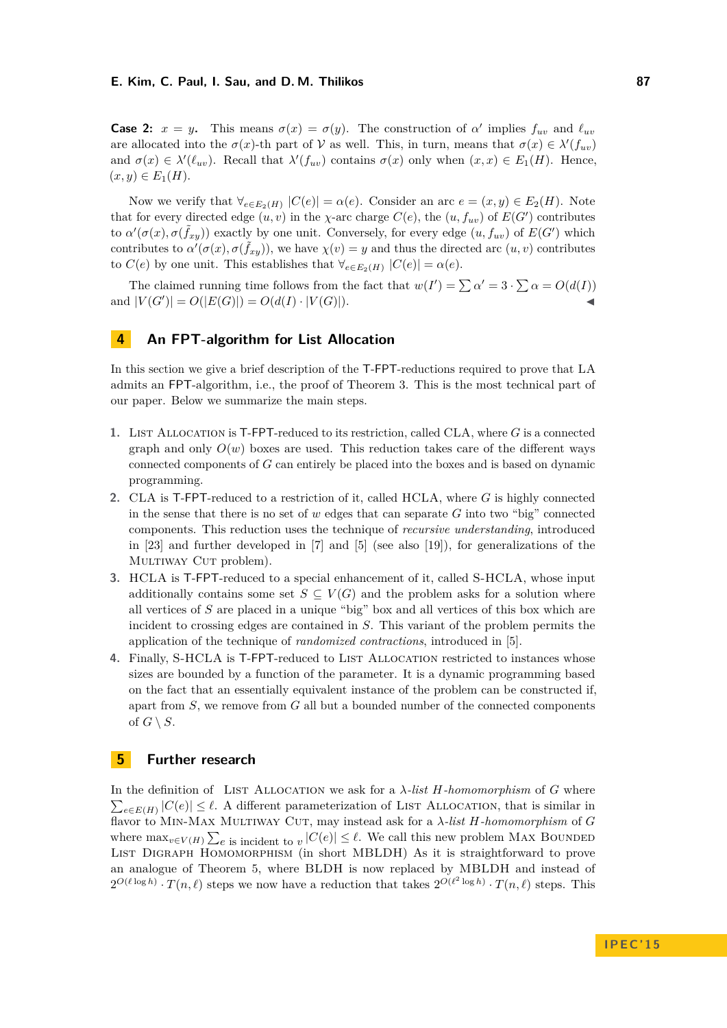**Case 2:**  $x = y$ . This means  $\sigma(x) = \sigma(y)$ . The construction of  $\alpha'$  implies  $f_{uv}$  and  $\ell_{uv}$ are allocated into the  $\sigma(x)$ -th part of V as well. This, in turn, means that  $\sigma(x) \in \lambda'(f_{uv})$ and  $\sigma(x) \in \lambda'(\ell_{uv})$ . Recall that  $\lambda'(f_{uv})$  contains  $\sigma(x)$  only when  $(x, x) \in E_1(H)$ . Hence,  $(x, y) \in E_1(H)$ .

Now we verify that  $\forall_{e \in E_2(H)} |C(e)| = \alpha(e)$ . Consider an arc  $e = (x, y) \in E_2(H)$ . Note that for every directed edge  $(u, v)$  in the *χ*-arc charge  $C(e)$ , the  $(u, f_{uv})$  of  $E(G')$  contributes to  $\alpha'(\sigma(x), \sigma(\tilde{f}_{xy}))$  exactly by one unit. Conversely, for every edge  $(u, f_{uv})$  of  $E(G')$  which contributes to  $\alpha'(\sigma(x), \sigma(\tilde{f}_{xy}))$ , we have  $\chi(v) = y$  and thus the directed arc  $(u, v)$  contributes to  $C(e)$  by one unit. This establishes that  $\forall_{e \in E_2(H)} |C(e)| = \alpha(e)$ .

The claimed running time follows from the fact that  $w(I') = \sum \alpha' = 3 \cdot \sum \alpha = O(d(I))$ and  $|V(G')| = O(|E(G)|) = O(d(I) \cdot |V(G)|)$ .

# <span id="page-9-0"></span>**4 An FPT-algorithm for List Allocation**

In this section we give a brief description of the T-FPT-reductions required to prove that LA admits an FPT-algorithm, i.e., the proof of Theorem [3.](#page-3-1) This is the most technical part of our paper. Below we summarize the main steps.

- **1.** LIST ALLOCATION is T-FPT-reduced to its restriction, called CLA, where G is a connected graph and only  $O(w)$  boxes are used. This reduction takes care of the different ways connected components of *G* can entirely be placed into the boxes and is based on dynamic programming.
- **2.** CLA is T-FPT-reduced to a restriction of it, called HCLA, where *G* is highly connected in the sense that there is no set of *w* edges that can separate *G* into two "big" connected components. This reduction uses the technique of *recursive understanding*, introduced in [\[23\]](#page-11-19) and further developed in [\[7\]](#page-10-11) and [\[5\]](#page-10-3) (see also [\[19\]](#page-11-20)), for generalizations of the MULTIWAY CUT problem).
- **3.** HCLA is T-FPT-reduced to a special enhancement of it, called S-HCLA, whose input additionally contains some set  $S \subseteq V(G)$  and the problem asks for a solution where all vertices of *S* are placed in a unique "big" box and all vertices of this box which are incident to crossing edges are contained in *S*. This variant of the problem permits the application of the technique of *randomized contractions*, introduced in [\[5\]](#page-10-3).
- 4. Finally, S-HCLA is T-FPT-reduced to LIST ALLOCATION restricted to instances whose sizes are bounded by a function of the parameter. It is a dynamic programming based on the fact that an essentially equivalent instance of the problem can be constructed if, apart from *S*, we remove from *G* all but a bounded number of the connected components of  $G \setminus S$ .

# **5 Further research**

In the definition of LIST ALLOCATION we ask for a  $\lambda$ -list  $H$ -homomorphism of  $G$  where  $\sum_{e \in E(H)} |C(e)| \leq \ell$ . A different parameterization of LIST ALLOCATION, that is similar in flavor to Min-Max Multiway Cut, may instead ask for a *λ-list H-homomorphism* of *G* where  $\max_{v \in V(H)} \sum_{e}$  is incident to  $v |C(e)| \leq \ell$ . We call this new problem MAX BOUNDED List Digraph Homomorphism (in short MBLDH) As it is straightforward to prove an analogue of Theorem [5,](#page-6-3) where BLDH is now replaced by MBLDH and instead of  $2^{O(\ell \log h)} \cdot T(n, \ell)$  steps we now have a reduction that takes  $2^{O(\ell^2 \log h)} \cdot T(n, \ell)$  steps. This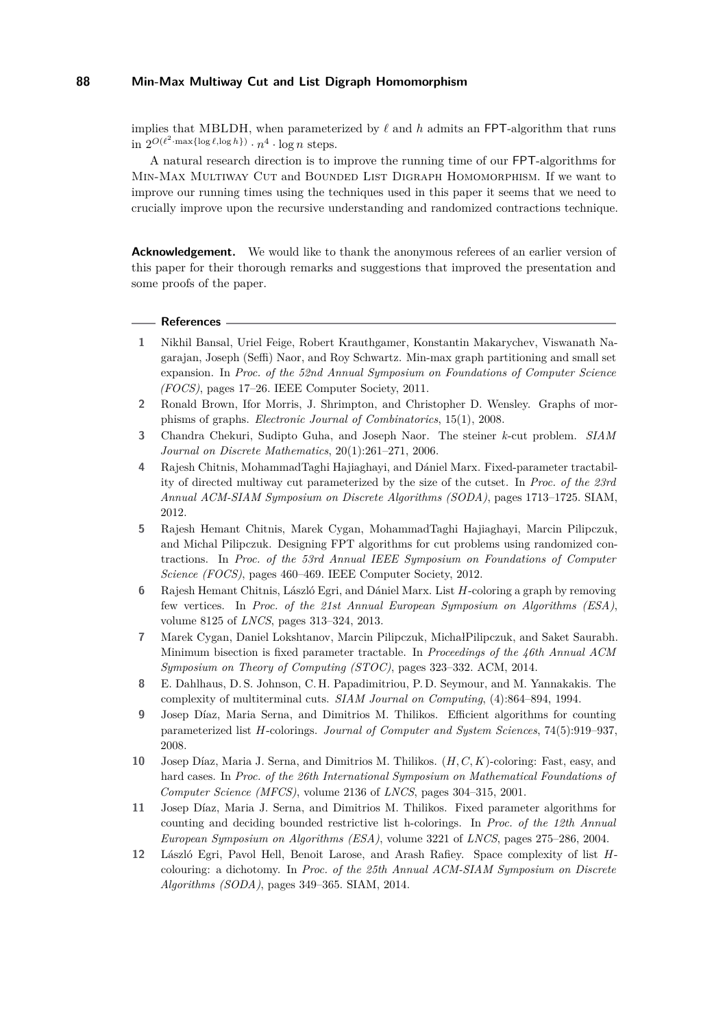implies that MBLDH, when parameterized by  $\ell$  and  $h$  admits an FPT-algorithm that runs  $\sin 2^{O(\ell^2 \cdot \max\{\log \ell, \log h\})} \cdot n^4 \cdot \log n$  steps.

A natural research direction is to improve the running time of our FPT-algorithms for Min-Max Multiway Cut and Bounded List Digraph Homomorphism. If we want to improve our running times using the techniques used in this paper it seems that we need to crucially improve upon the recursive understanding and randomized contractions technique.

**Acknowledgement.** We would like to thank the anonymous referees of an earlier version of this paper for their thorough remarks and suggestions that improved the presentation and some proofs of the paper.

#### **References**

- <span id="page-10-4"></span>**1** Nikhil Bansal, Uriel Feige, Robert Krauthgamer, Konstantin Makarychev, Viswanath Nagarajan, Joseph (Seffi) Naor, and Roy Schwartz. Min-max graph partitioning and small set expansion. In *Proc. of the 52nd Annual Symposium on Foundations of Computer Science (FOCS)*, pages 17–26. IEEE Computer Society, 2011.
- <span id="page-10-5"></span>**2** Ronald Brown, Ifor Morris, J. Shrimpton, and Christopher D. Wensley. Graphs of morphisms of graphs. *Electronic Journal of Combinatorics*, 15(1), 2008.
- <span id="page-10-1"></span>**3** Chandra Chekuri, Sudipto Guha, and Joseph Naor. The steiner *k*-cut problem. *SIAM Journal on Discrete Mathematics*, 20(1):261–271, 2006.
- <span id="page-10-2"></span>**4** Rajesh Chitnis, MohammadTaghi Hajiaghayi, and Dániel Marx. Fixed-parameter tractability of directed multiway cut parameterized by the size of the cutset. In *Proc. of the 23rd Annual ACM-SIAM Symposium on Discrete Algorithms (SODA)*, pages 1713–1725. SIAM, 2012.
- <span id="page-10-3"></span>**5** Rajesh Hemant Chitnis, Marek Cygan, MohammadTaghi Hajiaghayi, Marcin Pilipczuk, and Michal Pilipczuk. Designing FPT algorithms for cut problems using randomized contractions. In *Proc. of the 53rd Annual IEEE Symposium on Foundations of Computer Science (FOCS)*, pages 460–469. IEEE Computer Society, 2012.
- <span id="page-10-10"></span>**6** Rajesh Hemant Chitnis, László Egri, and Dániel Marx. List *H*-coloring a graph by removing few vertices. In *Proc. of the 21st Annual European Symposium on Algorithms (ESA)*, volume 8125 of *LNCS*, pages 313–324, 2013.
- <span id="page-10-11"></span>**7** Marek Cygan, Daniel Lokshtanov, Marcin Pilipczuk, MichałPilipczuk, and Saket Saurabh. Minimum bisection is fixed parameter tractable. In *Proceedings of the 46th Annual ACM Symposium on Theory of Computing (STOC)*, pages 323–332. ACM, 2014.
- <span id="page-10-0"></span>**8** E. Dahlhaus, D. S. Johnson, C. H. Papadimitriou, P. D. Seymour, and M. Yannakakis. The complexity of multiterminal cuts. *SIAM Journal on Computing*, (4):864–894, 1994.
- <span id="page-10-8"></span>**9** Josep Díaz, Maria Serna, and Dimitrios M. Thilikos. Efficient algorithms for counting parameterized list *H*-colorings. *Journal of Computer and System Sciences*, 74(5):919–937, 2008.
- <span id="page-10-7"></span>**10** Josep Díaz, Maria J. Serna, and Dimitrios M. Thilikos. (*H, C, K*)-coloring: Fast, easy, and hard cases. In *Proc. of the 26th International Symposium on Mathematical Foundations of Computer Science (MFCS)*, volume 2136 of *LNCS*, pages 304–315, 2001.
- <span id="page-10-9"></span>**11** Josep Díaz, Maria J. Serna, and Dimitrios M. Thilikos. Fixed parameter algorithms for counting and deciding bounded restrictive list h-colorings. In *Proc. of the 12th Annual European Symposium on Algorithms (ESA)*, volume 3221 of *LNCS*, pages 275–286, 2004.
- <span id="page-10-6"></span>**12** László Egri, Pavol Hell, Benoit Larose, and Arash Rafiey. Space complexity of list *H*colouring: a dichotomy. In *Proc. of the 25th Annual ACM-SIAM Symposium on Discrete Algorithms (SODA)*, pages 349–365. SIAM, 2014.